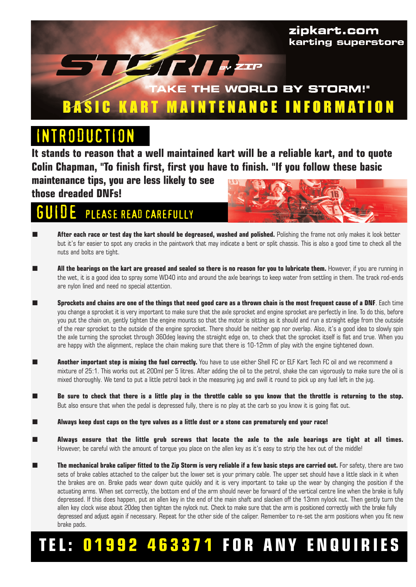

# RODUCTIO

**It stands to reason that a well maintained kart will be a reliable kart, and to quote Colin Chapman, "To finish first, first you have to finish. "If you follow these basic** 

**maintenance tips, you are less likely to see those dreaded DNFs!** 

#### PLEASE READ CAREFULLY



- After each race or test day the kart should be degreased, washed and polished. Polishing the frame not only makes it look better but it's far easier to spot any cracks in the paintwork that may indicate a bent or split chassis. This is also a good time to check all the nuts and bolts are tight.
- **All the bearings on the kart are greased and sealed so there is no reason for you to lubricate them.** However, if you are running in the wet, it is a good idea to spray some WD40 into and around the axle bearings to keep water from settling in them. The track rod-ends are nylon lined and need no special attention.
- **Sprockets and chains are one of the things that need good care as a thrown chain is the most frequent cause of a DNF**. Each time you change a sprocket it is very important to make sure that the axle sprocket and engine sprocket are perfectly in line. To do this, before you put the chain on, gently tighten the engine mounts so that the motor is sitting as it should and run a straight edge from the outside of the rear sprocket to the outside of the engine sprocket. There should be neither gap nor overlap. Also, it's a good idea to slowly spin the axle turning the sprocket through 360deg leaving the straight edge on, to check that the sprocket itself is flat and true. When you are happy with the alignment, replace the chain making sure that there is 10-12mm of play with the engine tightened down.
- **Another important step is mixing the fuel correctly.** You have to use either Shell FC or ELF Kart Tech FC oil and we recommend a mixture of 25:1. This works out at 200ml per 5 litres. After adding the oil to the petrol, shake the can vigorously to make sure the oil is mixed thoroughly. We tend to put a little petrol back in the measuring jug and swill it round to pick up any fuel left in the jug.
- Be sure to check that there is a little play in the throttle cable so you know that the throttle is returning to the stop. But also ensure that when the pedal is depressed fully, there is no play at the carb so you know it is going flat out.
- **Always keep dust caps on the tyre valves as a little dust or a stone can prematurely end your race!**
- Always ensure that the little grub screws that locate the axle to the axle bearings are tight at all times. However, be careful with the amount of torque you place on the allen key as it's easy to strip the hex out of the middle!
- **The mechanical brake caliper fitted to the Zip Storm is very reliable if a few basic steps are carried out.** For safety, there are two sets of brake cables attached to the caliper but the lower set is your primary cable. The upper set should have a little slack in it when the brakes are on. Brake pads wear down quite quickly and it is very important to take up the wear by changing the position if the actuating arms. When set correctly, the bottom end of the arm should never be forward of the vertical centre line when the brake is fully depressed. If this does happen, put an allen key in the end of the main shaft and slacken off the 13mm nylock nut. Then gently turn the allen key clock wise about 20deg then tighten the nylock nut. Check to make sure that the arm is positioned correctly with the brake fully depressed and adjust again if necessary. Repeat for the other side of the caliper. Remember to re-set the arm positions when you fit new brake pads.

# **TEL: 01992 463371 FOR ANY ENQUIRIES**